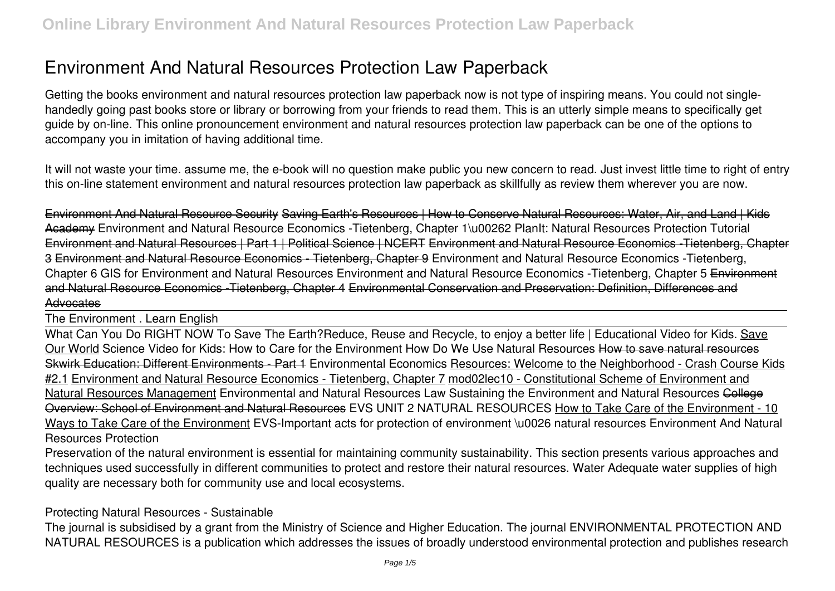# **Environment And Natural Resources Protection Law Paperback**

Getting the books **environment and natural resources protection law paperback** now is not type of inspiring means. You could not singlehandedly going past books store or library or borrowing from your friends to read them. This is an utterly simple means to specifically get guide by on-line. This online pronouncement environment and natural resources protection law paperback can be one of the options to accompany you in imitation of having additional time.

It will not waste your time. assume me, the e-book will no question make public you new concern to read. Just invest little time to right of entry this on-line statement **environment and natural resources protection law paperback** as skillfully as review them wherever you are now.

Environment And Natural Resource Security Saving Earth's Resources | How to Conserve Natural Resources: Water, Air, and Land | Kids Academy **Environment and Natural Resource Economics -Tietenberg, Chapter 1\u00262 PlanIt: Natural Resources Protection Tutorial** Environment and Natural Resources | Part 1 | Political Science | NCERT Environment and Natural Resource Economics -Tietenberg, Chapter 3 Environment and Natural Resource Economics - Tietenberg, Chapter 9 **Environment and Natural Resource Economics -Tietenberg, Chapter 6 GIS for Environment and Natural Resources Environment and Natural Resource Economics -Tietenberg, Chapter 5** Environment and Natural Resource Economics -Tietenberg, Chapter 4 Environmental Conservation and Preservation: Definition, Differences and Advocates

The Environment . Learn English

What Can You Do RIGHT NOW To Save The Earth?**Reduce, Reuse and Recycle, to enjoy a better life | Educational Video for Kids.** Save Our World **Science Video for Kids: How to Care for the Environment** *How Do We Use Natural Resources* How to save natural resources Skwirk Education: Different Environments - Part 1 *Environmental Economics* Resources: Welcome to the Neighborhood - Crash Course Kids #2.1 Environment and Natural Resource Economics - Tietenberg, Chapter 7 mod02lec10 - Constitutional Scheme of Environment and Natural Resources Management *Environmental and Natural Resources Law Sustaining the Environment and Natural Resources* College Overview: School of Environment and Natural Resources **EVS UNIT 2 NATURAL RESOURCES** How to Take Care of the Environment - 10 Ways to Take Care of the Environment *EVS-Important acts for protection of environment \u0026 natural resources* **Environment And Natural Resources Protection**

Preservation of the natural environment is essential for maintaining community sustainability. This section presents various approaches and techniques used successfully in different communities to protect and restore their natural resources. Water Adequate water supplies of high quality are necessary both for community use and local ecosystems.

### **Protecting Natural Resources - Sustainable**

The journal is subsidised by a grant from the Ministry of Science and Higher Education. The journal ENVIRONMENTAL PROTECTION AND NATURAL RESOURCES is a publication which addresses the issues of broadly understood environmental protection and publishes research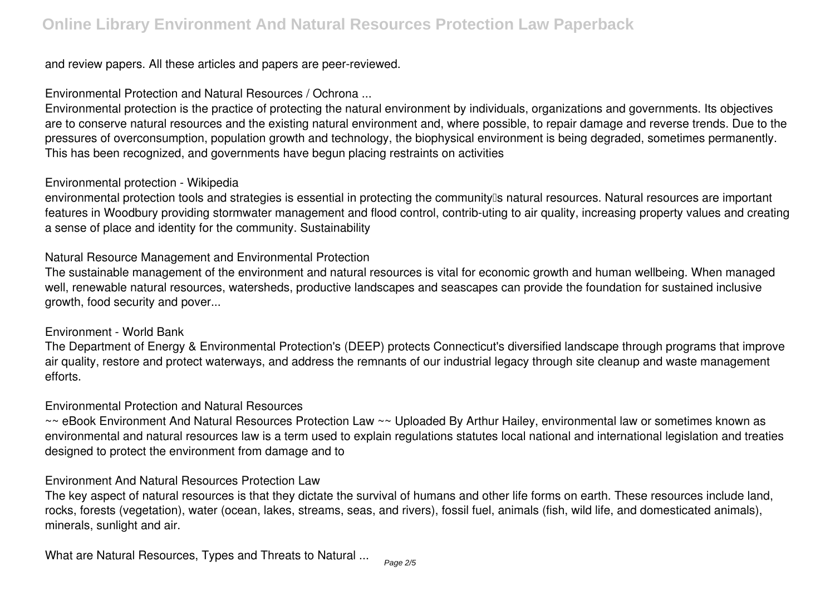and review papers. All these articles and papers are peer-reviewed.

**Environmental Protection and Natural Resources / Ochrona ...**

Environmental protection is the practice of protecting the natural environment by individuals, organizations and governments. Its objectives are to conserve natural resources and the existing natural environment and, where possible, to repair damage and reverse trends. Due to the pressures of overconsumption, population growth and technology, the biophysical environment is being degraded, sometimes permanently. This has been recognized, and governments have begun placing restraints on activities

#### **Environmental protection - Wikipedia**

environmental protection tools and strategies is essential in protecting the community<sup>[]</sup>s natural resources. Natural resources are important features in Woodbury providing stormwater management and flood control, contrib-uting to air quality, increasing property values and creating a sense of place and identity for the community. Sustainability

#### **Natural Resource Management and Environmental Protection**

The sustainable management of the environment and natural resources is vital for economic growth and human wellbeing. When managed well, renewable natural resources, watersheds, productive landscapes and seascapes can provide the foundation for sustained inclusive growth, food security and pover...

#### **Environment - World Bank**

The Department of Energy & Environmental Protection's (DEEP) protects Connecticut's diversified landscape through programs that improve air quality, restore and protect waterways, and address the remnants of our industrial legacy through site cleanup and waste management efforts.

#### **Environmental Protection and Natural Resources**

~~ eBook Environment And Natural Resources Protection Law ~~ Uploaded By Arthur Hailey, environmental law or sometimes known as environmental and natural resources law is a term used to explain regulations statutes local national and international legislation and treaties designed to protect the environment from damage and to

#### **Environment And Natural Resources Protection Law**

The key aspect of natural resources is that they dictate the survival of humans and other life forms on earth. These resources include land, rocks, forests (vegetation), water (ocean, lakes, streams, seas, and rivers), fossil fuel, animals (fish, wild life, and domesticated animals), minerals, sunlight and air.

**What are Natural Resources, Types and Threats to Natural ...**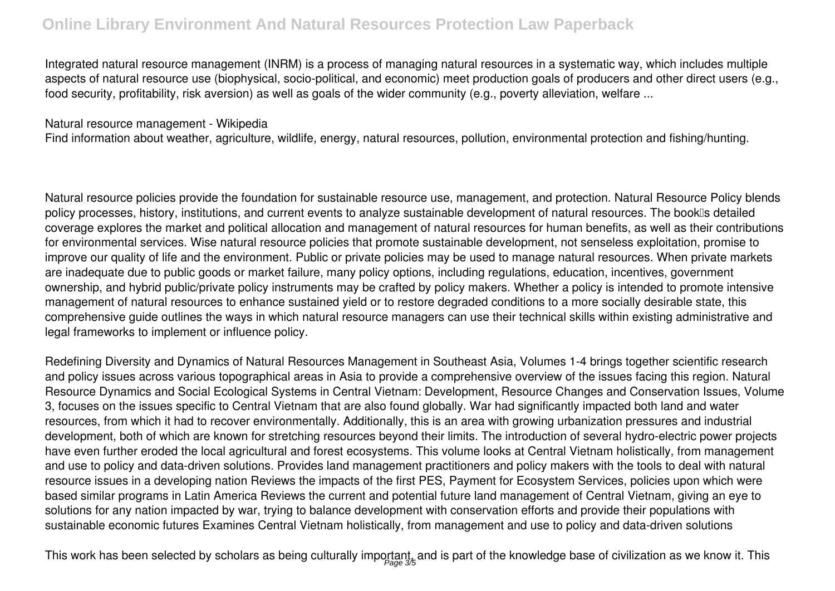## **Online Library Environment And Natural Resources Protection Law Paperback**

Integrated natural resource management (INRM) is a process of managing natural resources in a systematic way, which includes multiple aspects of natural resource use (biophysical, socio-political, and economic) meet production goals of producers and other direct users (e.g., food security, profitability, risk aversion) as well as goals of the wider community (e.g., poverty alleviation, welfare ...

#### **Natural resource management - Wikipedia**

Find information about weather, agriculture, wildlife, energy, natural resources, pollution, environmental protection and fishing/hunting.

Natural resource policies provide the foundation for sustainable resource use, management, and protection. Natural Resource Policy blends policy processes, history, institutions, and current events to analyze sustainable development of natural resources. The booklls detailed coverage explores the market and political allocation and management of natural resources for human benefits, as well as their contributions for environmental services. Wise natural resource policies that promote sustainable development, not senseless exploitation, promise to improve our quality of life and the environment. Public or private policies may be used to manage natural resources. When private markets are inadequate due to public goods or market failure, many policy options, including regulations, education, incentives, government ownership, and hybrid public/private policy instruments may be crafted by policy makers. Whether a policy is intended to promote intensive management of natural resources to enhance sustained yield or to restore degraded conditions to a more socially desirable state, this comprehensive guide outlines the ways in which natural resource managers can use their technical skills within existing administrative and legal frameworks to implement or influence policy.

Redefining Diversity and Dynamics of Natural Resources Management in Southeast Asia, Volumes 1-4 brings together scientific research and policy issues across various topographical areas in Asia to provide a comprehensive overview of the issues facing this region. Natural Resource Dynamics and Social Ecological Systems in Central Vietnam: Development, Resource Changes and Conservation Issues, Volume 3, focuses on the issues specific to Central Vietnam that are also found globally. War had significantly impacted both land and water resources, from which it had to recover environmentally. Additionally, this is an area with growing urbanization pressures and industrial development, both of which are known for stretching resources beyond their limits. The introduction of several hydro-electric power projects have even further eroded the local agricultural and forest ecosystems. This volume looks at Central Vietnam holistically, from management and use to policy and data-driven solutions. Provides land management practitioners and policy makers with the tools to deal with natural resource issues in a developing nation Reviews the impacts of the first PES, Payment for Ecosystem Services, policies upon which were based similar programs in Latin America Reviews the current and potential future land management of Central Vietnam, giving an eye to solutions for any nation impacted by war, trying to balance development with conservation efforts and provide their populations with sustainable economic futures Examines Central Vietnam holistically, from management and use to policy and data-driven solutions

This work has been selected by scholars as being culturally important, and is part of the knowledge base of civilization as we know it. This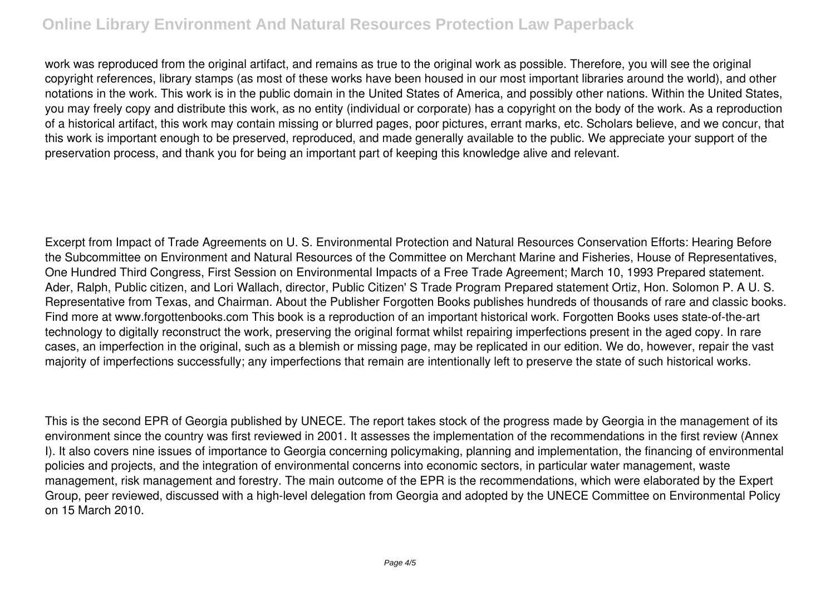## **Online Library Environment And Natural Resources Protection Law Paperback**

work was reproduced from the original artifact, and remains as true to the original work as possible. Therefore, you will see the original copyright references, library stamps (as most of these works have been housed in our most important libraries around the world), and other notations in the work. This work is in the public domain in the United States of America, and possibly other nations. Within the United States, you may freely copy and distribute this work, as no entity (individual or corporate) has a copyright on the body of the work. As a reproduction of a historical artifact, this work may contain missing or blurred pages, poor pictures, errant marks, etc. Scholars believe, and we concur, that this work is important enough to be preserved, reproduced, and made generally available to the public. We appreciate your support of the preservation process, and thank you for being an important part of keeping this knowledge alive and relevant.

Excerpt from Impact of Trade Agreements on U. S. Environmental Protection and Natural Resources Conservation Efforts: Hearing Before the Subcommittee on Environment and Natural Resources of the Committee on Merchant Marine and Fisheries, House of Representatives, One Hundred Third Congress, First Session on Environmental Impacts of a Free Trade Agreement; March 10, 1993 Prepared statement. Ader, Ralph, Public citizen, and Lori Wallach, director, Public Citizen' S Trade Program Prepared statement Ortiz, Hon. Solomon P. A U. S. Representative from Texas, and Chairman. About the Publisher Forgotten Books publishes hundreds of thousands of rare and classic books. Find more at www.forgottenbooks.com This book is a reproduction of an important historical work. Forgotten Books uses state-of-the-art technology to digitally reconstruct the work, preserving the original format whilst repairing imperfections present in the aged copy. In rare cases, an imperfection in the original, such as a blemish or missing page, may be replicated in our edition. We do, however, repair the vast majority of imperfections successfully; any imperfections that remain are intentionally left to preserve the state of such historical works.

This is the second EPR of Georgia published by UNECE. The report takes stock of the progress made by Georgia in the management of its environment since the country was first reviewed in 2001. It assesses the implementation of the recommendations in the first review (Annex I). It also covers nine issues of importance to Georgia concerning policymaking, planning and implementation, the financing of environmental policies and projects, and the integration of environmental concerns into economic sectors, in particular water management, waste management, risk management and forestry. The main outcome of the EPR is the recommendations, which were elaborated by the Expert Group, peer reviewed, discussed with a high-level delegation from Georgia and adopted by the UNECE Committee on Environmental Policy on 15 March 2010.